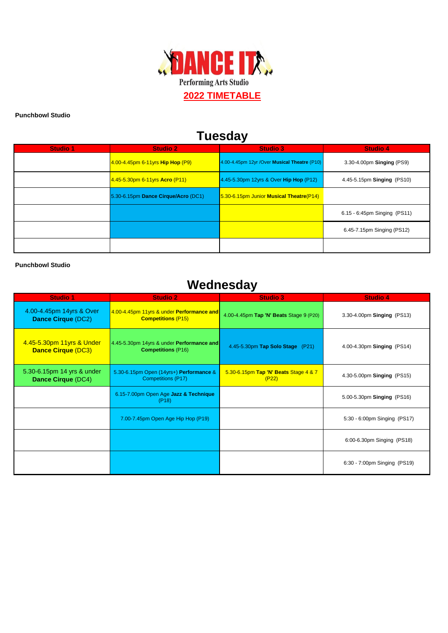

#### **Punchbowl Studio**

## **Tuesday**

| <b>Studio 1</b> | <b>Studio 2</b>                     | <b>Studio 3</b>                                    | <b>Studio 4</b>              |
|-----------------|-------------------------------------|----------------------------------------------------|------------------------------|
|                 | 4.00-4.45pm 6-11yrs Hip Hop (P9)    | $4.00 - 4.45$ pm 12yr / Over Musical Theatre (P10) | 3.30-4.00pm Singing (PS9)    |
|                 | 4.45-5.30pm 6-11yrs Acro (P11)      | $4.45 - 5.30$ pm 12yrs & Over Hip Hop (P12)        | 4.45-5.15pm Singing (PS10)   |
|                 | 5.30-6.15pm Dance Cirque/Acro (DC1) | 5.30-6.15pm Junior Musical Theatre(P14)            |                              |
|                 |                                     |                                                    | 6.15 - 6:45pm Singing (PS11) |
|                 |                                     |                                                    | 6.45-7.15pm Singing (PS12)   |
|                 |                                     |                                                    |                              |

**Punchbowl Studio**

### **Wednesday**

| <b>Studio 1</b>                                        | <b>Studio 2</b>                                                        | <b>Studio 3</b>                                | <b>Studio 4</b>              |
|--------------------------------------------------------|------------------------------------------------------------------------|------------------------------------------------|------------------------------|
| 4.00-4.45pm 14yrs & Over<br><b>Dance Cirque (DC2)</b>  | 4.00-4.45pm 11yrs & under Performance and<br><b>Competitions (P15)</b> | 4.00-4.45pm Tap 'N' Beats Stage 9 (P20)        | 3.30-4.00pm Singing (PS13)   |
| 4.45-5.30pm 11yrs & Under<br><b>Dance Cirque (DC3)</b> | 4.45-5.30pm 14yrs & under Performance and<br><b>Competitions (P16)</b> | 4.45-5.30pm Tap Solo Stage (P21)               | 4.00-4.30pm Singing (PS14)   |
| 5.30-6.15pm 14 yrs & under<br>Dance Cirque (DC4)       | 5.30-6.15pm Open (14yrs+) Performance &<br>Competitions (P17)          | 5.30-6.15pm Tap 'N' Beats Stage 4 & 7<br>(P22) | 4.30-5.00pm Singing (PS15)   |
|                                                        | 6.15-7.00pm Open Age Jazz & Technique<br>(P18)                         |                                                | 5.00-5.30pm Singing (PS16)   |
|                                                        | 7.00-7.45pm Open Age Hip Hop (P19)                                     |                                                | 5:30 - 6:00pm Singing (PS17) |
|                                                        |                                                                        |                                                | 6:00-6.30pm Singing (PS18)   |
|                                                        |                                                                        |                                                | 6:30 - 7:00pm Singing (PS19) |